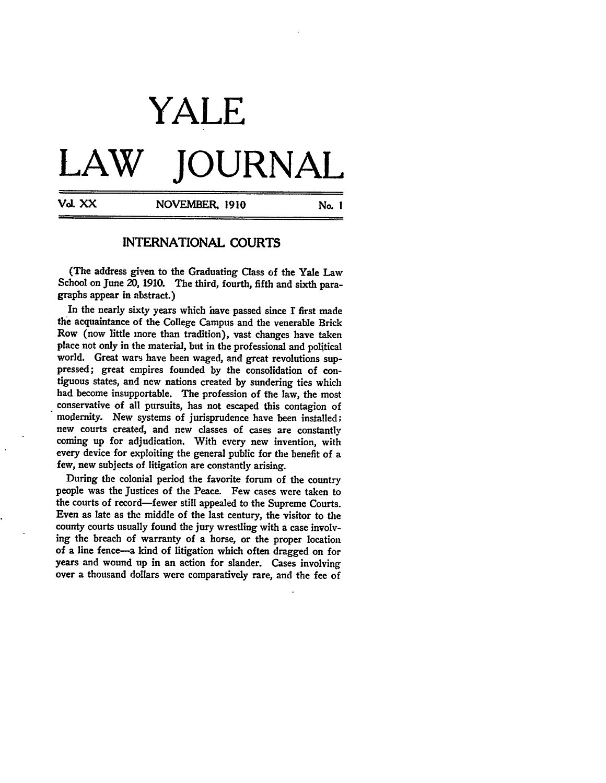## YALE LAW **JOURNAL VoL XX** NOVEMBER. **19I0 No. 1**

## **INTERNATIONAL COURTS**

(The address given to the Graduating Class **of** the Yale Law School on June 20, **1910.** The third, fourth, fifth and sixth paragraphs appear in abstract.)

In the nearly sixty years which have passed since **I** first made the acquaintance of the College Campus and the venerable Brick Row (now little more than tradition), vast changes have taken place not only in the material, but in the professional and political world. Great wars have been waged, and great revolutions sup- pressed; great empires founded **by** the consolidation of contiguous states, and new nations created **by** sundering ties which had become insupportable. The profession of the law, the most conservative of all pursuits, has not escaped this contagion of modernity. New systems of jurisprudence have been installed; new courts created, and new classes of cases are constantly coming up for adjudication. With every new invention, with every device for exploiting the general public for the benefit of a few, new subjects of litigation are constantly arising.

During the colonial period the favorite forum of the country people was the Justices of the Peace. Few cases were taken to the courts of record-fewer still appealed to the Supreme Courts. Even as late as the middle of the last century, the visitor to the county courts usually found the jury wrestling with a case involving the breach of warranty of a horse, or the proper location of a line fence-a kind of litigation which often dragged on for years and wound up in an action for slander. Cases involving over a thousand dollars were comparatively rare, and the fee of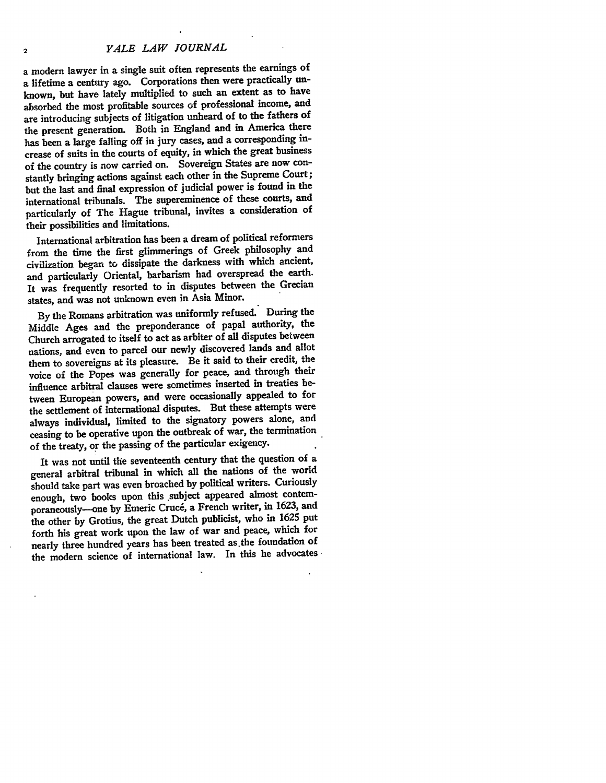*YALE LAW JOURNAL*

a modern lawyer in a single suit often represents the earnings of a lifetime a century ago. Corporations then were practically unknown, but have lately multiplied to such an extent as to have absorbed the most profitable sources of professional income, and are introducing subjects of litigation unheard of to the fathers of the present generation. Both in England and in America there has been a large falling off in jury cases, and a corresponding increase of suits in the courts of equity, in which the great business of the country is now carried on. Sovereign States are now constantly bringing actions against each other in the Supreme Court; but the last and final expression of judicial power is found in the international tribunals. The supereminence of these courts, and particularly of The Hague tribunal, invites a consideration of their possibilities and limitations.

International arbitration has been a dream of political reformers from the time the first glimmerings of Greek philosophy and civilization began to dissipate the darkness with which ancient, and particularly Oriental, barbarism had overspread the earth. It was frequently resorted to in disputes between the Grecian states, and was not unknown even in Asia Minor.

**By** the Romans arbitration was uniformly refused. During the Middle Ages and the preponderance of papal authority, the Church arrogated to itself to act as arbiter of all disputes between nations, and even to parcel our newly discovered lands and allot them to sovereigns at its pleasure. Be it said to their credit, the voice of the Popes was generally for peace, and through their influence arbitral clauses were sometimes inserted in treaties between European powers, and were occasionally appealed to for the settlement of international disputes. But these attempts were always individual, limited to the signatory powers alone, and ceasing to be operative upon the outbreak of war, the termination of the treaty, or the passing of the particular exigency.

It was not until the seventeenth century that the question of a general arbitral tribunal in which all the nations of the world should take part was even broached **by** political writers. Curiously enough, two books upon this subject appeared almost contemporaneously--one **by** Emeric Cruci, a French writer, in **1623,** and the other **by** Grotius, the great Dutch publicist, who in **1625** put forth his great work upon the law of war and peace, which for nearly three hundred years has been treated as the foundation of the modern science of international law. In this he advocates

 $\overline{2}$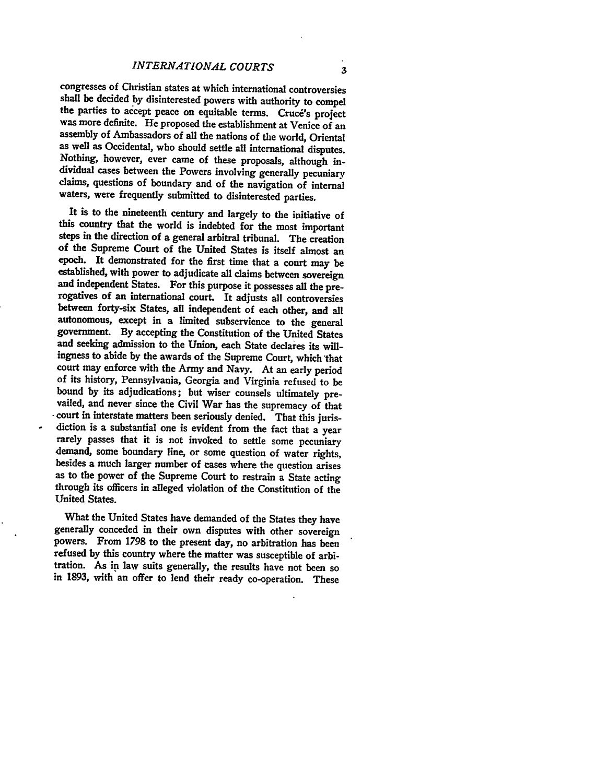congresses of Christian states at which international controversies shall be decided **by** disinterested powers with authority to compel the parties to accept peace on equitable terms. **Cruci's** project was more definite. He proposed the establishment at Venice of an assembly of Ambassadors of all the nations of the world, Oriental as well as Occidental, who should settle all international disputes. Nothing, however, ever came of these proposals, although individual cases between the Powers involving generally pecuniary claims, questions of boundary and of the navigation of internal waters, were frequently submitted to disinterested parties.

It is to the nineteenth century and largely to the initiative of this country that the world is indebted for the most important steps in the direction of a general arbitral tribunal. The creation of the Supreme Court of the United States is itself almost an epoch. It demonstrated for the first time that a court may be established, with power to adjudicate all claims between sovereign and independent States. For this purpose it possesses all the pre- rogatives of an international court. It adjusts all controversies between forty-six States, all independent of each other, and all autonomous, except in a limited subservience to the general government. By accepting the Constitution of the United States and seeking admission to the Union, each State declares its willingness to abide **by** the awards of the Supreme Court, which \*that court may enforce with the Army and Navy. At an early period of its history, Pennsylvania, Georgia and Virginia refused to be bound by its adjudications; but wiser counsels ultimately prevailed, and never since the Civil War has the supremacy of that court in interstate matters been seriously denied. That this jurisdiction is a substantial one is evident from the fact that a year rarely passes that it is not invoked to settle some pecuniary demand, some boundary line, or some question of water rights, besides a much larger number of cases where the question arises as to the power of the Supreme Court to restrain a State acting through its officers in alleged violation of the Constitution of the United States.

What the United States have demanded of the States they have generally conceded in their own disputes with other sovereign powers. From **1798** to the present day, no arbitration has been refused **by** this country where the matter was susceptible of arbitration. As in law suits generally, the results have not been so in **1893,** with an offer to lend their ready co-operation. These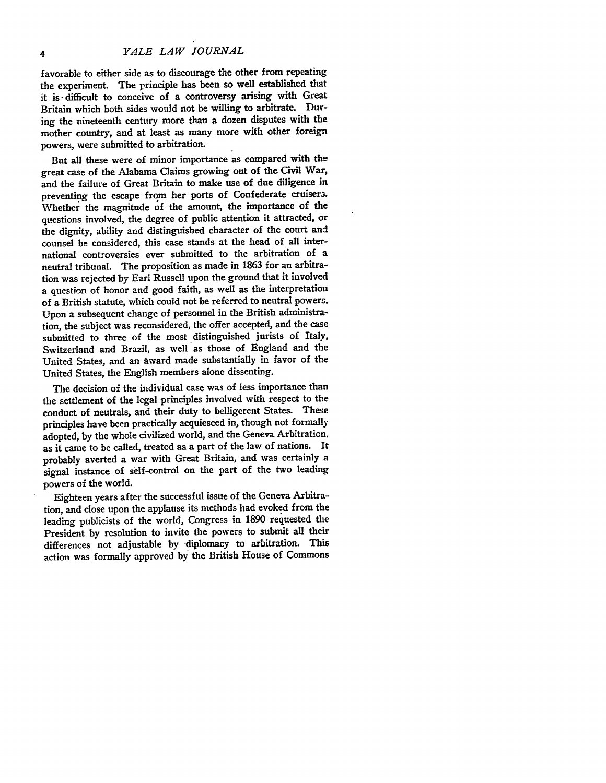favorable to either side as to discourage the other from repeating the experiment. The principle has been so well established that it **is-** difficult to conceive of a controversy arising with Great Britain which both sides would not be willing to arbitrate. During the nineteenth century more than a dozen disputes with the mother country, and at least as many more with other foreign powers, were submitted to arbitration.

But all these were of minor importance as compared with the great case of the Alabama Claims growing out of the Civil War, and the failure of Great Britain to make use of due diligence in preventing the escape from her ports of Confederate cruiser3. Whether the magnitude **of** the amount, the importance of the questions involved, the degree of public attention it attracted, or the dignity, ability and distinguished character of the court and counsel be considered, this case stands at the head of all international controversies ever submitted to the arbitration of a neutral tribunal. The proposition as made in **1863** for an arbitration was rejected **by** Earl Russell upon the ground that it involved a question of honor and good faith, as well as the interpretation of a British statute, which could not be referred to neutral powers. Upon a subsequent change of personnel in the British administration, the subject was reconsidered, the offer accepted, and the case submitted to three of the most distinguished jurists of Italy, Switzerland and Brazil, as well as those of England *and* the United States, and an award made substantially in favor of the United States, the English members alone dissenting.

The decision of the individual case was of less importance than the settlement of the legal principles involved with respect to the conduct of neutrals, and their duty to belligerent States. These principles have been practically acquiesced in, though not formally adopted, **by** the whole civilized world, and the Geneva Arbitration. as it came to be called, treated as a part of the law of nations. It probably averted a war with Great Britain, and was certainly a signal instance of self-control on the part of the two leading powers of the world.

Eighteen years after the successful issue of the Geneva Arbitration, and close upon the applause its methods had evoked from the leading publicists of the world, Congress in **1890** requested the President **by** resolution to invite the powers to submit all their differences not adjustable by diplomacy to arbitration. This action was formally approved **by** the British House of Commons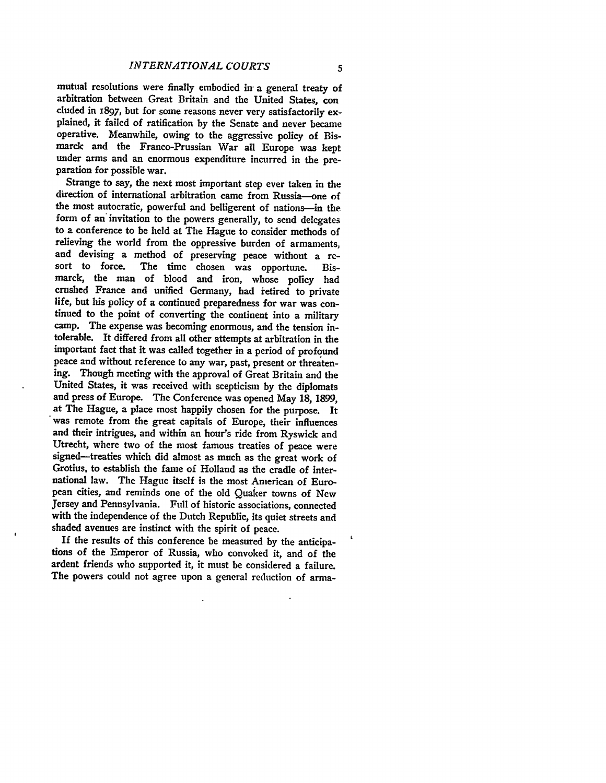mutual resolutions were finally embodied in a general treaty of arbitration between Great Britain and the United States, con cluded in 1897, but for some reasons never very satisfactorily explained, it failed of ratification **by** the Senate and never became operative. Meanwhile, owing to the aggressive policy of Bismarck and the Franco-Prussian War all Europe was kept under arms and an enormous expenditure incurred in the preparation for possible war.

Strange to say, the next most important step ever taken in the direction of international arbitration came from Russia-one of the most autocratic, powerful and belligerent of nations-in the form of an invitation to the powers generally, to send delegates to a conference to be held at The Hague to consider methods of relieving the world from the oppressive burden of armaments, and devising a method of preserving peace without a resort to force. The time chosen was opportune. Bismarck, the man of blood and iron, whose policy had crushed France and unified Germany, had ietired to private life, but his policy of a continued preparedness for war was continued to the point of converting the continent into a military camp. The expense was becoming enormous, and the tension intolerable. It differed from all other attempts at arbitration in the important fact that it was called together in a period of profound peace and without reference to any war, past, present or threatening. Though meeting with the approval of Great Britain and the United States, it was received with scepticism **by** the diplomats and press of Europe. The Conference was opened May **18, 1899,** at The Hague, a place most happily chosen for the purpose. It was remote from the great capitals of Europe, their influences and their intrigues, and within an hour's ride from Ryswick and Utrecht, where two of the most famous treaties of peace were signed-treaties which did almost as much as the great work of Grotius, to establish the fame of Holland as the cradle of international law. The Hague itself is the most American of European cities, and reminds one of the old Quaker towns of New Jersey and Pennsylvania. Full of historic associations, connected with the independence of the Dutch Republic, its quiet streets and shaded avenues are instinct with the spirit of peace.

If the results of this conference be measured **by** the anticipations of the Emperor of Russia, who convoked it, and of the ardent friends **who** supported it, it must be considered a failure. The powers could not **agree** upon a general reduction of arna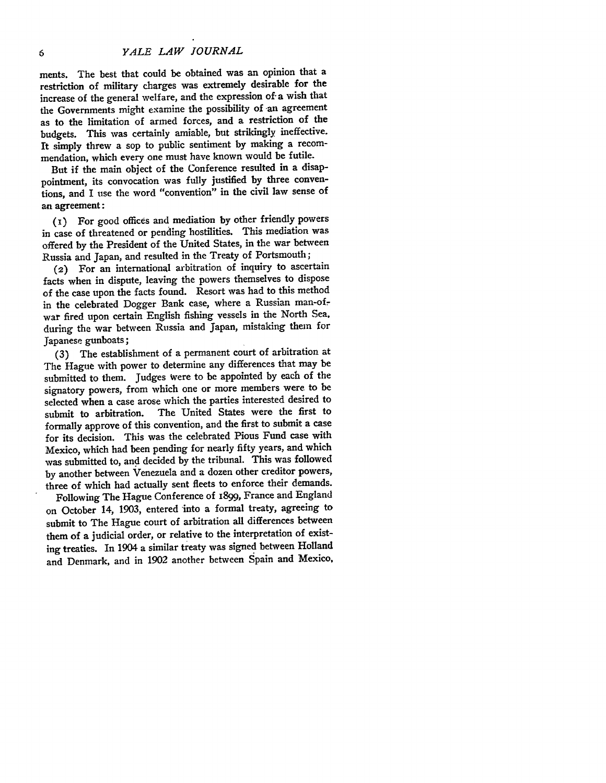ments. The best that could be obtained was an opinion that a restriction of military charges was extremely desirable for the increase of the general welfare, and the expression **of-** a wish that the Governments might examine the possibility of an agreement as to the limitation of armed forces, and a restriction of the budgets. This was certainly amiable, but strikingly ineffective. It simply threw a sop to public sentiment **by** making a recommendation, which every one must have known would be futile.

But if the main object of the Conference resulted in a disappointment, its convocation was fully justified **by** three conventions, and I use the word "convention" in the civil law sense of an agreement:

**(i)** For good offices and mediation **by** other friendly powers in case of threatened or pending hostilities. This mediation was offered **by** the President of the United States, in the war between Russia and Japan, and resulted in the Treaty of Portsmouth;

**(2)** For an international arbitration of inquiry to ascertain facts when in dispute, leaving the powers themselves to dispose of the case upon the facts found. Resort was had to this method in the celebrated Dogger Bank case, where a Russian man-ofwar fired upon certain English fishing vessels in the North Sea, during the war between Russia and Japan, mistaking them for Japanese gunboats;

**(3)** The establishment of a permanent court of arbitration at The Hague with power to determine any differences that may **be** submitted to them. Judges were to be appointed **by** each of the signatory powers, from which one or more members were to **be** selected when a case arose which the parties interested desired to submit to arbitration. The United States were the first to The United States were the first to formally approve of this convention, and the first to submit a case for its decision. This was the celebrated Pious Fund case with Mexico, which had been pending for nearly fifty years, and which was submitted to, and decided **by** the tribunal. This was followed **by** another between Venezuela and a dozen other creditor powers, three of which had actually sent fleets to enforce their demands.

Following The Hague Conference of **i899,** France and England on October 14, 1903, entered into a formal treaty, agreeing to submit to The Hague court of arbitration all differences between them of a judicial order, or relative to the interpretation of existing treaties. In 1904 a similar treaty was signed between Holland and Denmark, and in **1902** another between Spain and Mexico,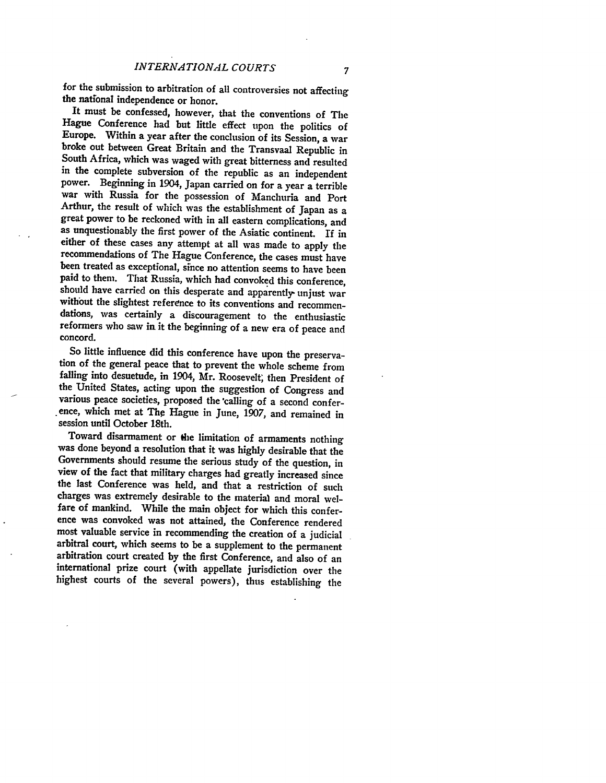for the submission to arbitration of all controversies not affecting the national independence or honor.

It must be confessed, however, that the conventions of The Hague Conference had but little effect upon the politics of Europe. Within a year after the conclusion of its Session, a war broke out between Great Britain and the Transvaal Republic in South Africa, which was waged with great bitterness and resulted in the complete subversion of the republic as an independent power. Beginning in 1904, Japan carried on for a year a terrible war with Russia for the possession of Manchuria and Port Arthur, the result of which was the establishment of Japan as a great power to be reckoned with in all eastern complications, and as unquestionably the first power of the Asiatic continent. If in either of these cases any attempt at all was made to apply the recommendations of The Hague Conference, the cases must have been treated as exceptional, since no attention seems to have been paid to them. That Russia, which had convoked this conference, should have carried on this desperate and apparently- unjust war without the slightest reference to its conventions and recommendations, was certainly a discouragement to the enthusiastic reformers who saw in it the beginning of a new era of peace and concord.

So little influence did this conference have upon the preserva- tion of the general peace that to prevent the whole scheme from falling into desuetude, in 1904, Mr. Roosevelt; then President of the United States, acting upon the suggestion of Congress and various peace societies, proposed the calling of a second conference, which met at The Hague in June, 1907, and remained in session until October 18th.

Toward disarmament or **\*ie** limitation of armaments nothing was done beyond a resolution that it was highly desirable that the Governments should resume the serious study of the question, in view of the fact that military charges had greatly increased since the last Conference was held, and that a restriction of such charges was extremely desirable to the material and moral welfare of mankind. While the main object for which this conference was convoked was not attained, the Conference rendered most valuable service in recommending the creation of a judicial arbitral court, which seems to be a supplement to the permanent arbitration court created **by** the first Conference, and also of an international prize court (with appellate jurisdiction over the highest courts of the several powers), thus establishing the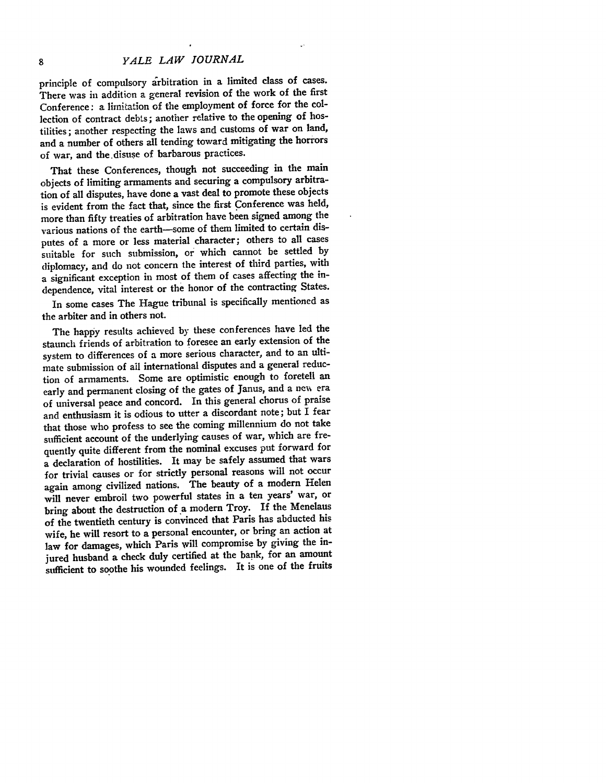*YALE LAW JOURNAL*

principle of compulsory arbitration in a limited class of cases. There was in addition a general revision of the work of the first Conference: a limitation of the employment of force for the collection of contract debts; another relative to the opening of hostilities; another respecting the laws and customs of war on land, and a number of others all tending toward mitigating the horrors of war, and the disuse of barbarous practices.

That these Conferences, though not succeeding in the main objects of limiting armaments and securing a compulsory arbitration of all disputes, have done a vast deal to promote these objects is evident from the fact that, since the first Conference was held, more than fifty treaties of arbitration have been signed among the various nations of the earth-some of them limited to certain disputes of a more or less material character; others to all cases suitable for such submission, or which cannot be settled **by** diplomacy, and do not concern the interest of third parties, with a significant exception in most of them of cases affecting the independence, vital interest or the honor of the contracting States.

In some cases The Hague tribunal is specifically mentioned as the arbiter and in others not.

The happy results achieved **by** these conferences have led the staunch friends of arbitration to foresee an early extension of the systen to differences of a more serious character, and to an ultimate submission of all international disputes and a general reduction of armaments. Some are optimistic enough to foretell an early and permanent closing of the gates of Janus, and a new era of universal peace and concord. In this general chorus of praise and enthusiasm it is odious to utter a discordant note; but  $\overline{I}$  fear that those who profess to see the coming millennium do not take sufficient account of the underlying causes of war, which are frequently quite different from the nominal excuses put forward for a declaration of hostilities. It may **be** safely assumed that wars for trivial causes or for strictly personal reasons will not occur again among civilized nations. The beauty of a modem Helen will never embroil two powerful states in a ten years' war, or bring about the destruction of a modem Troy. If the Menelaus of the twentieth century is convinced that Paris has abducted his wife, he will resort to a personal encounter, or bring an action at law for damages, which Paris will compromise **by** giving the injured husband a check duly certified at the **bank,** for an amount sufficient to soothe his wounded feelings. It is one of the fruits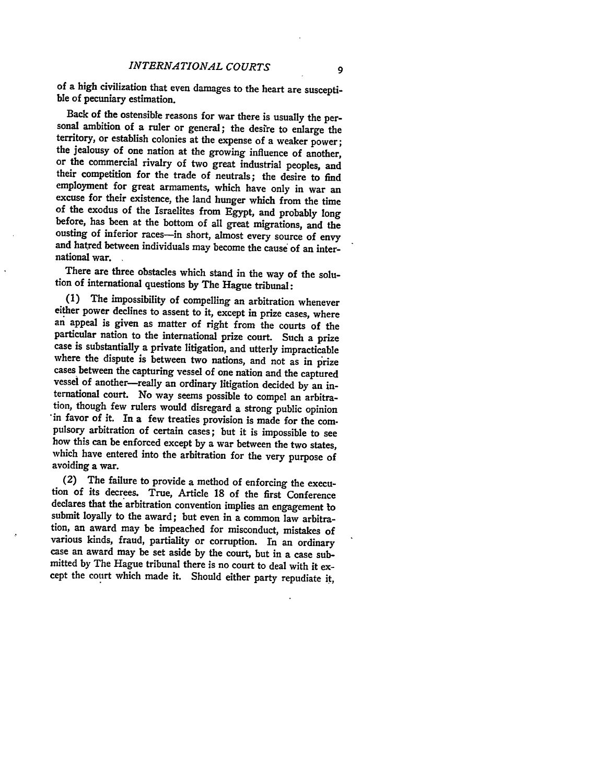of a high civilization that even damages to the heart are susceptible of pecuniary estimation.

Back of the ostensible reasons for war there is usually the per-<br>sonal ambition of a ruler or general; the desire to enlarge the<br>territory, or establish colonies at the expense of a weaker power; the jealousy of one nation at the growing influence of another, or the commercial rivalry of two great industrial peoples, and their competition for the trade of neutrals; the desire to find employment for great armaments, which have only in war an excuse for their existence, the land hunger which from the time of the exodus of the Israelites from **Egypt,** and probably long before, has been at the bottom of all great migrations, and the ousting of inferior races-in short, almost every source of envy and hatred between individuals may become the cause of an international war.

There are three obstacles which stand in the way of the solution of international questions **by** The Hague tribunal:

**(1)** The impossibility of compelling an arbitration whenever either power declines to assent to it, except in prize cases, where an appeal is given as matter of right from the courts of the particular nation to the international prize court. Such a prize case is substantially a private litigation, and utterly impracticable where the dispute is between two nations, and not as in prize cases between the capturing vessel of one nation and the captured vessel of another-really an ordinary litigation decided by an international court. No way seems possible to compel an arbitration, though few rulers would disregard a strong public opinion in favor of it. In a few treaties provision is made for the compulsory arbitration of certain cases; but it is impossible to see how this can be enforced except **by** a war between the two states, which have entered into the arbitration for the very purpose of avoiding a war.

(2) The failure to provide a method of enforcing the execution of its decrees. True, Article **18** of the first Conference declares that the arbitration convention implies an engagement **to** submit loyally to the award; but even in a common law arbitration, an award may be impeached for misconduct, mistakes of various kinds, fraud, partiality or corruption. In an ordinary case an award may be set aside **by** the court, but in a case submitted **by** The Hague tribunal there is no court to deal with it except the court which made it. Should either party repudiate *it,*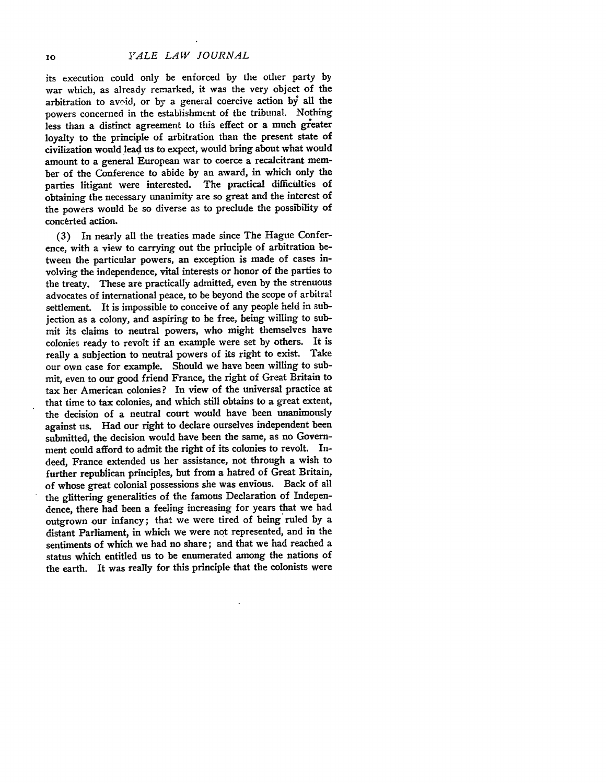its execution could only be enforced by the other party **by** war which, as already remarked, it was the very object of the arbitration to avoid, or by a general coercive action by all the powers concerned in the establishment of the tribunal. Nothing less than a distinct agreement to this effect or a much greater loyalty to the principle of arbitration than the present state of civilization would lead us to expect, would bring about what would amount to a general European war to coerce a recalcitrant member of the Conference to abide **by** an award, in which only the parties litigant were interested. The practical difficulties of obtaining the necessary unanimity are so great and the interest of the powers would be so diverse as to preclude the possibility of concerted action.

**(3)** In nearly all the treaties made since The Hague Conference, with a view to carrying out the principle of arbitration between the particular powers, an exception is made of cases involving the independence, vital interests or honor of the parties to the treaty. These are practically admitted, even **by** the strenuous advocates of international peace, to be beyond the scope of arbitral settlement. It is impossible to conceive of any people held in subjection as a colony, and aspiring to be free, being willing to submit its claims to neutral powers, who might themselves have colonies ready to revolt if an example were set **by** others. It is really a subjection to neutral powers of its right to exist. Take our own case for example. Should we have been willing to submit, even to our good friend France, the right of Great Britain to tax her American colonies? In view of the universal practice at that time to tax colonies, and which still obtains to a great extent, the decision of a neutral court would have been unanimously against us. Had our right to declare ourselves independent been submitted, the decision would have been the same, as no Government could afford to admit the right of its colonies to revolt. Indeed, France extended us her assistance, not through a wish to further republican principles, but from a hatred of Great Britain, of whose great colonial possessions she was envious. Back of all the glittering generalities of the famous Declaration of Independence, there **had** been a feeling increasing for years that we **had** outgrown our infancy; that we were tired of being ruled **by** a distant Parliament, in which we were not represented, and in the sentiments of which we had no share; and that we had reached a status which entitled us to be enumerated among the nations of the earth. It was really for this principle that the colonists were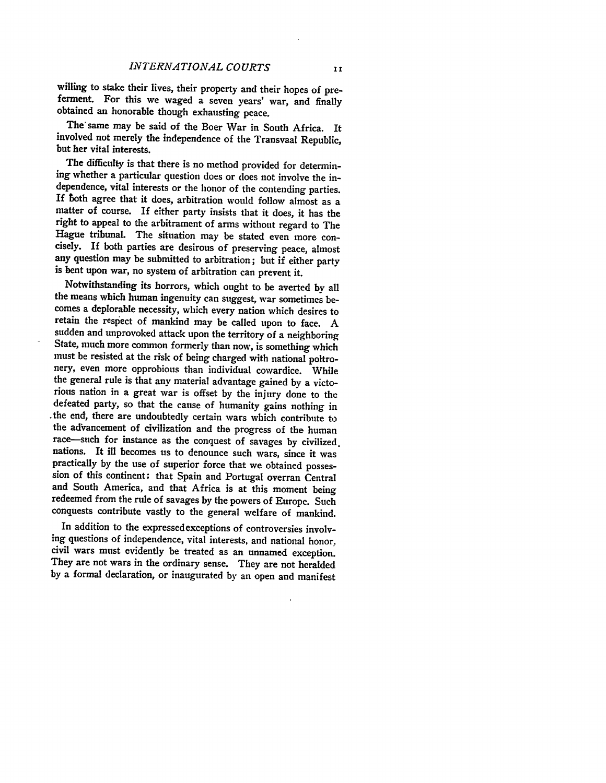willing to stake their lives, their property and their hopes of pre-<br>ferment. For this we waged a seven years' war, and finally obtained an honorable though exhausting peace.

The same may be said of the Boer War in South Africa. It involved not merely the independence of the Transvaal Republic, but her vital interests.

The difficulty is that there is no method provided for determining whether a particular question does or does not involve the in-If both agree that it does, arbitration would follow almost as a matter of course. If either party insists that it does, it has the right to appeal to the arbitrament of arms without regard to The Hague tribunal. The situation may be stated even more concisely. If both parties are desirous of preserving peace, almost any question may be submitted to arbitration; but if either party is bent upon war, no system of arbitration can prevent it.

Notwithstanding its horrors, which ought to be averted **by** all the means which human ingenuity can suggest, war sometimes becomes a deplorable necessity, which every nation which desires to retain the respect of mankind may be called upon to face. **A** State, much more common formerly than now, is something which must be resisted at the risk of being charged with national poltronery, even more opprobious than individual cowardice. While the general rule is that any material advantage gained **by** a victorious nation in a great war is offset **by** the injury done to the defeated party, so that the cause of humanity gains nothing in **the** end, there are undoubtedly certain wars which contribute to the advancement of civilization and the progress of the human race-such for instance as the conquest of savages **by** civilized. nations. It ill becomes us to denounce such wars, since it was practically **by** the use of superior force that we obtained posses- sion of this continent; that Spain and Portugal overran Central and South America, and that Africa is at this moment being redeemed from the rule of savages **by** the powers of Europe. Such conquests contribute vastly to the general welfare of mankind.

In addition to the expressedexceptions of controversies involving questions of independence, vital interests, and national honor. civil wars must evidently be treated as an unnamed exception. They are not wars in the ordinary sense. They are not heralded **by** a formal declaration, or inaugurated **by** an open and manifest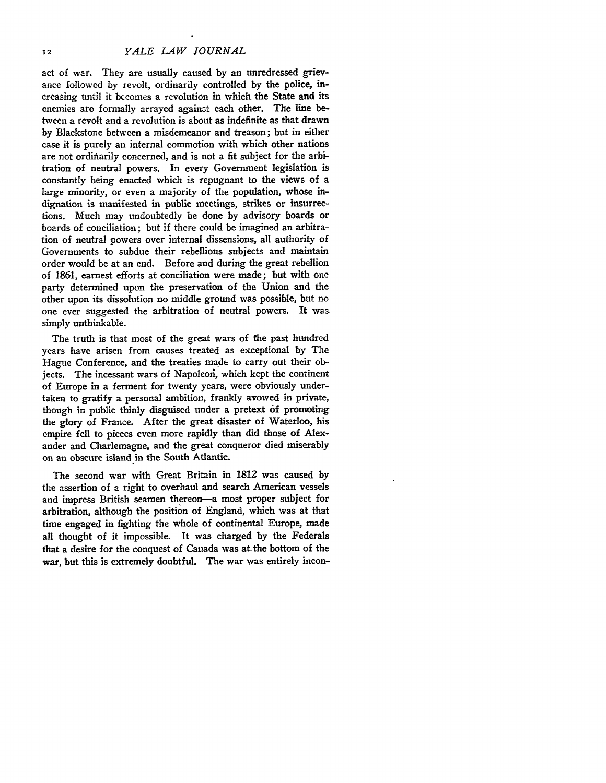act of war. They are usually caused **by** an unredressed grievance followed **by** revolt, ordinarily controlled **by** the police, increasing until it becomes a revolution in which the State and its enemies are formally arrayed against each other. The line between a revolt and a revolution is about as indefinite as that drawn by Blackstone between a misdemeanor and treason; but in either case it is purely an internal commotion with which other nations are not ordinarily concerned, and is not a fit subject for the arbitration of neutral powers. In every Government legislation is constantly being enacted which is repugnant to the views of a large minority, or even a majority of the population, whose indignation is manifested in public meetings, strikes or insurrections. Much may undoubtedly be done **by** advisory boards or boards of conciliation; but if there could be imagined an arbitration of neutral powers over internal dissensions, all authority of Governments to subdue their rebellious subjects and maintain order would **be** at an end. Before and during the great rebellion of 1861, earnest efforts at conciliation were made; but with one party determined upon the preservation of the Union and the other upon its dissolution no middle ground was possible, but no one ever suggested the arbitration of neutral powers. It was simply unthinkable.

The truth is that most of the great wars of the past hundred years have arisen from causes treated as exceptional by The Hague Conference, and the treaties made to carry out their objects. The incessant wars of Napoleon, which kept the continent of Europe in a ferment for twenty years, were obviously undertaken to gratify a personal ambition, frankly avowed in private, though in public thinly disguised under a pretext of promoting the glory of France. After the great disaster of Waterloo, his empire fell to pieces even more rapidly than did those of Alexander and Charlemagne, and the great conqueror died miserably on an obscure island in the South Atlantic.

The second war with Great Britain in 1812 was caused by the assertion of a right to overhaul and search American vessels and impress British seamen thereon-a most proper subject for arbitration, although the position of England, which was at that time engaged in fighting the whole of continental Europe, made all thought of it impossible. It was charged by the Federals that a desire for the conquest of Canada was at. the bottom of the war, but this is extremely doubtful. The war was entirely incon-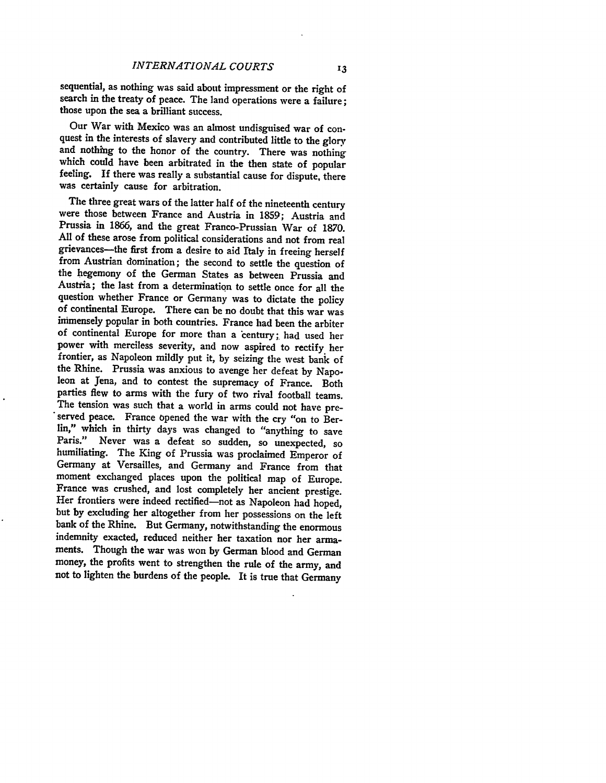sequential, as nothing was said about impressment or the right of search in the treaty of peace. The land operations were a failure; those upon the sea a brilliant success.

Our War with Mexico was an almost undisguised war of conand nothing to the honor of the country. There was nothing<br>which could have been arbitrated in the then state of popular<br>feeling. If there was really a substantial cause for dispute, there was certainly cause for arbitration.

The three great wars of the latter half of the nineteenth century were those between France and Austria in 1859; Austria and Prussia in 1866, and the great Franco-Prussian War of 1870. **All** of these arose from political considerations and not from real grievances-the first from a desire to aid Italy in freeing herself from Austrian domination; the second to settle the question of the hegemony of the German States as between Prussia and Austria; the last from a determination to settle once for all the question whether France or Germany was to dictate the policy of continental Europe. There can be no doubt that this war was immensely popular in both countries. France had been the arbiter of continental Europe for more than a 'century; had used her power with merciless severity, and now aspired to rectify her frontier, as Napoleon mildly put it, **by** seizing the west bank of leon at Jena, and to contest the supremacy of France. Both parties flew to arms with the fury of two rival football teams. The tension was such that a world in arms could not have pre-<br>served peace. France opened the war with the cry "on to Berlin," which in thirty days was changed to "anything to save Paris." Never was a defeat so sudden, so unexpected, so humiliating. The King of Prussia was proclaimed Emperor of Germany at Versailles, and Germany and France from that France was crushed, and lost completely her ancient prestige.<br>Her frontiers were indeed rectified—not as Napoleon had hoped,<br>but by excluding her altogether from her possessions on the left bank of the Rhine. But Germany, notwithstanding the enormous indemnity exacted, reduced neither her taxation nor her armaments. Though the war was won **by** German blood and German money, the profits went to strengthen the rule of the army, and not to lighten the burdens of the people. It is true that Germany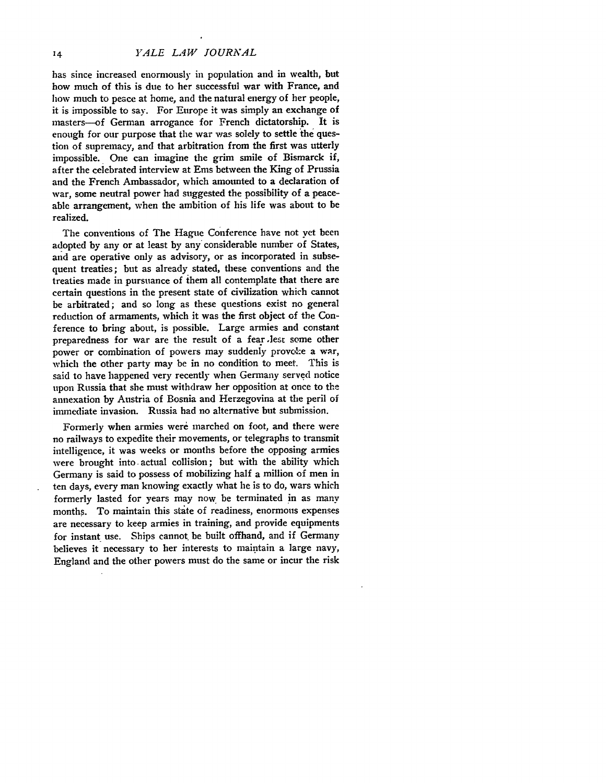has since increased enormously in population and in wealth, but how much of this is due to her successful war with France, and how much to peace at home, and the natural energy of her people, it is impossible to say. For Europe it was simply an exchange of masters--of German arrogance for French dictatorship. It is enough for our purpose that the war was solely to settle the question of supremacy, and that arbitration from the first was utterly impossible. One can imagine the grim smile of Bismarck if, after the celebrated interview at Ems between the King of Prussia and the French Ambassador, which amounted to a declaration of war, some neutral power had suggested the possibility of a peaceable arrangement, when the ambition of his life was about to be realized.

The conventions of The Hague Conference have not vet been adopted **by** any or at least **by** any considerable number of States, and are operative only as advisory, or as incorporated in subsequent treaties; but as already stated, these conventions and the treaties made in pursuance of them all contemplate that there are certain questions in the present state of civilization which cannot be arbitrated; and so long as these questions exist no general reduction of armaments, which it was the first object of the Conference to bring about, is possible. Large armies and constant preparedness for war are the result of a fear.lest some other power or combination of powers may suddenly provoke a war, which the other party may be in no condition to meet. This is said to have happened very recently when Germany served notice upon Russia that she must withdraw her opposition at once to **the** annexation **by** Austria of Bosnia and Herzegovina at the peril of immediate invasion. Russia had no alternative but submission.

Formerly when armies were marched on foot, and there were no railways to expedite their movements, or telegraphs to transmit intelligence, it was weeks or months before the opposing armies were brought into. actual collision; but with the ability which Germany is said to possess of mobilizing half a million of men in ten days, every man knowing exactly what **he** is to do, wars which formerly lasted for years may now be terminated in as many months. To maintain this state of readiness, enormous expenses are necessary to keep armies in training, and provide equipments for instant use. Ships cannot, be built offhand, and if Gernany believes it necessary to her interests to maintain a large navy, England and the other powers must do the same or incur the risk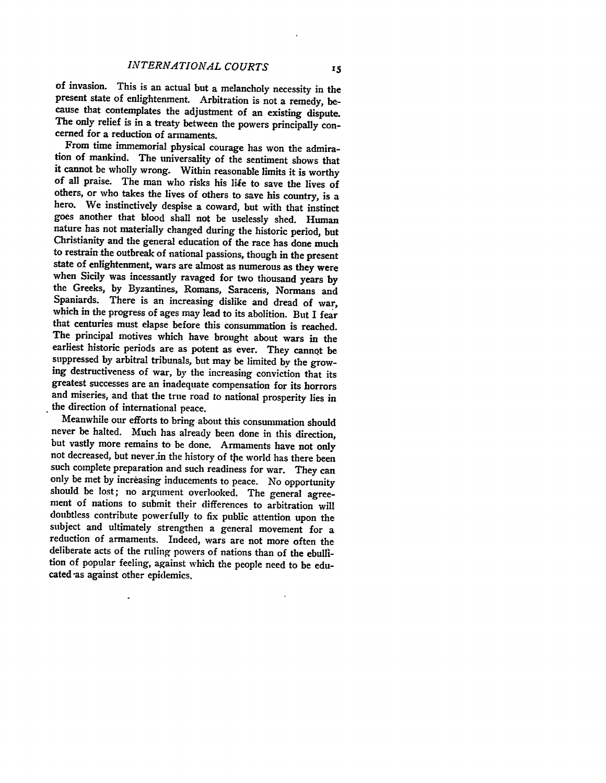of invasion. This is an actual but a melancholy necessity in the present state of enlightenment. Arbitration is not a remedy, because that contemplates the adjustment of an existing dispute. The only relief is in a treaty between the powers principally concerned for a reduction of armaments.

From time immemorial physical courage has won the admiration of mankind. The universality of the sentiment shows that it cannot be wholly wrong. Within reasonable limits it is worthy of all praise. The man who risks his life to save the lives of others, or who takes the lives of others to save his country, is a hero. We instinctively despise a coward, but with that instinct goes another that blood shall not be uselessly shed. Human nature has not materially changed during the historic period, but Christianity and the general education of the race has done much to restrain the outbreak of national passions, though in the present state of enlightenment, wars are almost as numerous as they were when Sicily was incessantly ravaged for two thousand years **by** the Greeks, **by** Byzantines, Romans, Saraceris, Normans and Spaniards. There is an increasing dislike and dread of war, which in the progress of ages may lead to its abolition. But I fear that centuries must elapse before this consummation is reached. The principal motives which have brought about wars in the earliest historic periods are as potent as ever. They cannot be suppressed **by** arbitral tribunals, but may be limited by the grow- ing destructiveness of war, **by** the increasing conviction that its greatest successes are an inadequate compensation for its horrors and miseries, and that the true road to national prosperity lies in the direction of international peace.

Meanwhile our efforts to bring about this consummation should never be halted. Much has already been done in this direction, but vastly more remains to be done. Armaments have not only not decreased, but never.in the history of the world has there been such complete preparation and such readiness for war. They can only be met by increasing inducements to peace. No opportunity should be lost; no argument overlooked. The general agreement of nations to submit their differences to arbitration will doubtless contribute powerfully to fix public attention upon the subject and ultimately strengthen a general movement for a reduction of armaments. Indeed, wars are not more often the deliberate acts of the ruling powers of nations than of the ebullition of popular feeling, against which the people need to be educated -as against other epidemics.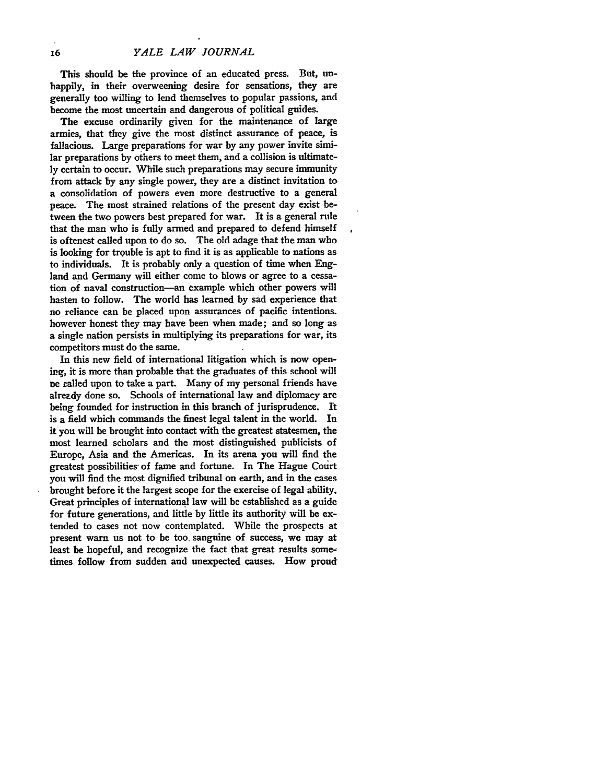This should be the province of an educated press. But, unhappily, in their overweening desire for sensations, they are generally too willing to lend themselves to popular passions, and become the most uncertain and dangerous of political guides.

The excuse ordinarily given for the maintenance of large armies, that they give the most distinct assurance of peace, is fallacious. Large preparations for war **by** any power invite similar preparations **by** others to meet them, and a collision is ultimate**ly** certain to occur. While such preparations may secure immunity from attack **by** any single power, they are a distinct invitation to a consolidation of powers even more destructive to a general peace. The most strained relations of the present day exist between the two powers best prepared for war. It is a general rule that the man who is fully armed and prepared to defend himself is oftenest called upon to do so. The old adage that the man **who** is looking for trouble is apt to find it is as applicable to nations as to individuals. It is probably only a question of time when England and Germany will either come to blows or agree to a cessation of naval construction-an example which other powers will hasten to follow. The world has learned **by** sad experience that no reliance can be placed upon assurances of pacific intentions. however honest they may have been when made; and so long as a single nation persists in multiplying its preparations for war, its competitors must do the same.

In this new field of international litigation which is now opening, it is more than probable that the graduates of this school will ne called upon to take a part. Many of my personal friends have already done so. Schools of international law and diplomacy are being founded for instruction in this branch of jurisprudence. It is a field which commands the finest legal talent in the world. In it you will be brought into contact with the greatest statesmen, the most learned scholars and the most distinguished publicists of Europe, Asia and the Americas. In its arena you will find the greatest possibilities of fame and fortune. In The Hague Court you will find the most dignified tribunal on earth, and in the cases brought before it the largest scope for the exercise of legal ability. Great principles of international law will be established as a guide for future generations, and little **by** little its authority will be extended to cases not now contemplated. While the prospects at present warn us not to be too. sanguine of success, we may at least be hopeful, and recognize the fact that great results sometimes follow from sudden and unexpected causes. How proud